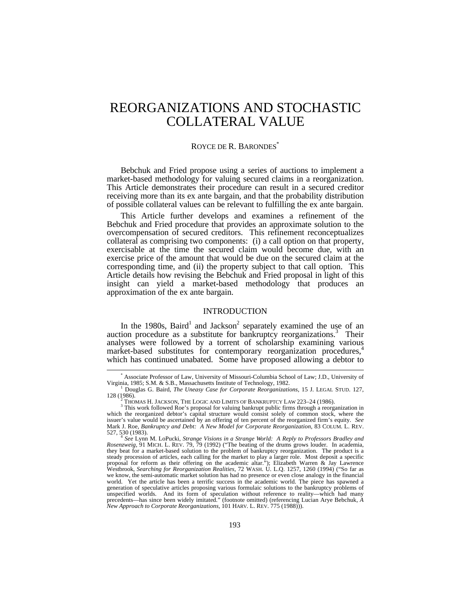# REORGANIZATIONS AND STOCHASTIC COLLATERAL VALUE

# ROYCE DE R. BARONDES<sup>\*</sup>

Bebchuk and Fried propose using a series of auctions to implement a market-based methodology for valuing secured claims in a reorganization. This Article demonstrates their procedure can result in a secured creditor receiving more than its ex ante bargain, and that the probability distribution of possible collateral values can be relevant to fulfilling the ex ante bargain.

This Article further develops and examines a refinement of the Bebchuk and Fried procedure that provides an approximate solution to the overcompensation of secured creditors. This refinement reconceptualizes collateral as comprising two components: (i) a call option on that property, exercisable at the time the secured claim would become due, with an exercise price of the amount that would be due on the secured claim at the corresponding time, and (ii) the property subject to that call option. This Article details how revising the Bebchuk and Fried proposal in light of this insight can yield a market-based methodology that produces an approximation of the ex ante bargain.

# INTRODUCTION

In the 1980s, Baird<sup>1</sup> and Jackson<sup>2</sup> separately examined the use of an auction procedure as a substitute for bankruptcy reorganizations.<sup>3</sup> Their analyses were followed by a torrent of scholarship examining various market-based substitutes for contemporary reorganization procedures,<sup>4</sup> which has continued unabated. Some have proposed allowing a debtor to

<sup>\*</sup> Associate Professor of Law, University of Missouri-Columbia School of Law; J.D., University of Virginia, 1985; S.M. & S.B., Massachusetts Institute of Technology, 1982.

<sup>&</sup>lt;sup>1</sup> Douglas G. Baird, *The Uneasy Case for Corporate Reorganizations*, 15 J. LEGAL STUD. 127, 128 (1986).

THOMAS H. JACKSON, THE LOGIC AND LIMITS OF BANKRUPTCY LAW 223-24 (1986).

<sup>&</sup>lt;sup>3</sup> This work followed Roe's proposal for valuing bankrupt public firms through a reorganization in which the reorganized debtor's capital structure would consist solely of common stock, where the issuer's value would be ascertained by an offering of ten percent of the reorganized firm's equity. *See* Mark J. Roe, *Bankruptcy and Debt: A New Model for Corporate Reorganization*, 83 COLUM. L. REV. 527, 530 (1983). 4

*See* Lynn M. LoPucki, *Strange Visions in a Strange World: A Reply to Professors Bradley and Rosenzweig*, 91 MICH. L. REV. 79, 79 (1992) ("The beating of the drums grows louder. In academia, they beat for a market-based solution to the problem of bankruptcy reorganization. The product is a steady procession of articles, each calling for the market to play a larger role. Most deposit a specific proposal for reform as their offering on the academic altar."); Elizabeth Warren & Jay Lawrence Westbrook, *Searching for Reorganization Realities*, 72 WASH. U. L.Q. 1257, 1260 (1994) ("So far as we know, the semi-automatic market solution has had no presence or even close analogy in the financial world. Yet the article has been a terrific success in the academic world. The piece has spawned a generation of speculative articles proposing various formulaic solutions to the bankruptcy problems of unspecified worlds. And its form of speculation without reference to reality—which had many precedents—has since been widely imitated." (footnote omitted) (referencing Lucian Arye Bebchuk, *A New Approach to Corporate Reorganizations,* 101 HARV. L. REV. 775 (1988))).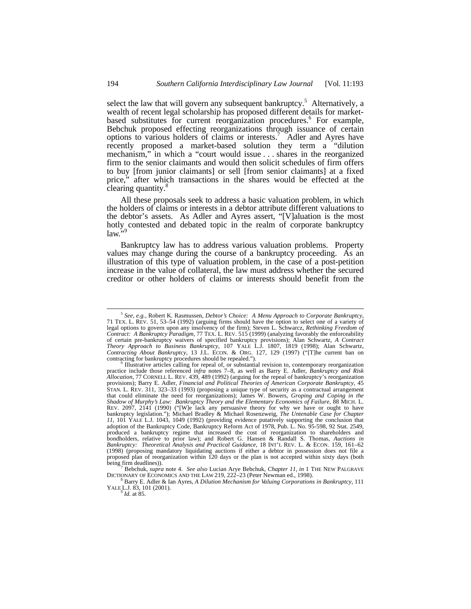select the law that will govern any subsequent bankruptcy.<sup>5</sup> Alternatively, a wealth of recent legal scholarship has proposed different details for marketbased substitutes for current reorganization procedures.<sup>6</sup> For example, Bebchuk proposed effecting reorganizations through issuance of certain options to various holders of claims or interests.<sup>7</sup> Adler and Ayres have recently proposed a market-based solution they term a "dilution mechanism," in which a "court would issue . . . shares in the reorganized firm to the senior claimants and would then solicit schedules of firm offers to buy [from junior claimants] or sell [from senior claimants] at a fixed price," after which transactions in the shares would be effected at the clearing quantity.<sup>8</sup>

All these proposals seek to address a basic valuation problem, in which the holders of claims or interests in a debtor attribute different valuations to the debtor's assets. As Adler and Ayres assert, "[V]aluation is the most hotly contested and debated topic in the realm of corporate bankruptcy  $law<sup>5</sup>$ 

Bankruptcy law has to address various valuation problems. Property values may change during the course of a bankruptcy proceeding. As an illustration of this type of valuation problem, in the case of a post-petition increase in the value of collateral, the law must address whether the secured creditor or other holders of claims or interests should benefit from the

9 *Id.* at 85.

<sup>&</sup>lt;sup>5</sup> See, e.g., Robert K. Rasmussen, *Debtor's Choice: A Menu Approach to Corporate Bankruptcy*, 71 TEX. L. REV. 51, 53–54 (1992) (arguing firms should have the option to select one of a variety of legal options to govern *Contract: A Bankruptcy Paradigm*, 77 TEX. L. REV. 515 (1999) (analyzing favorably the enforceability of certain pre-bankruptcy waivers of specified bankruptcy provisions); Alan Schwartz, *A Contract Theory Approach to Business Bankruptcy*, 107 YALE L.J. 1807, 1819 (1998); Alan Schwartz, *Contracting About Bankruptcy*, 13 J.L. ECON. & ORG. 127, 129 (1997) ("[T]he current ban on contracting for bankruptcy procedures should be repealed.").

Illustrative articles calling for repeal of, or substantial revision to, contemporary reorganization practice include those referenced *infra* notes 7–8, as well as Barry E. Adler, *Bankruptcy and Risk Allocation*, 77 CORNELL L. REV. 439, 489 (1992) (arguing for the repeal of bankruptcy's reorganization provisions); Barry E. Adler, *Financial and Political Theories of American Corporate Bankruptcy*, 45 STAN. L. REV. 311, 323–33 (1993) (proposing a unique type of security as a contractual arrangement that could eliminate the need for reorganizations); James W. Bowers, *Groping and Coping in the Shadow of Murphy's Law: Bankruptcy Theory and the Elementary Economics of Failure*, 88 MICH. L. REV. 2097, 2141 (1990) ("[W]e lack any persuasive theory for why we have or ought to have bankruptcy legislation."); Michael Bradley & Michael Rosenzweig, *The Untenable Case for Chapter 11*, 101 YALE L.J. 1043, 1049 (1992) (providing evidence putatively supporting the conclusion that adoption of the Bankruptcy Code, Bankruptcy Reform Act of 1978, Pub. L. No. 95-598, 92 Stat. 2549, produced a bankruptcy regime that increased the cost of reorganization to shareholders and bondholders, relative to prior law); and Robert G. Hansen & Randall S. Thomas, *Auctions in Bankruptcy: Theoretical Analysis and Practical Guidance*, 18 INT'L REV. L. & ECON. 159, 161–62 (1998) (proposing mandatory liquidating auctions if either a debtor in possession does not file a proposed plan of reorganization within 120 days or the plan is not accepted within sixty days (both being firm deadlines)).

Bebchuk, *supra* note 4. *See also* Lucian Arye Bebchuk, *Chapter 11*, *in* 1 THE NEW PALGRAVE DICTIONARY OF ECONOMICS AND THE LAW 219, 222–23 (Peter Newman ed., 1998).

<sup>8</sup> Barry E. Adler & Ian Ayres, *A Dilution Mechanism for Valuing Corporations in Bankruptcy*, 111 YALE L.J. 83, 101 (2001).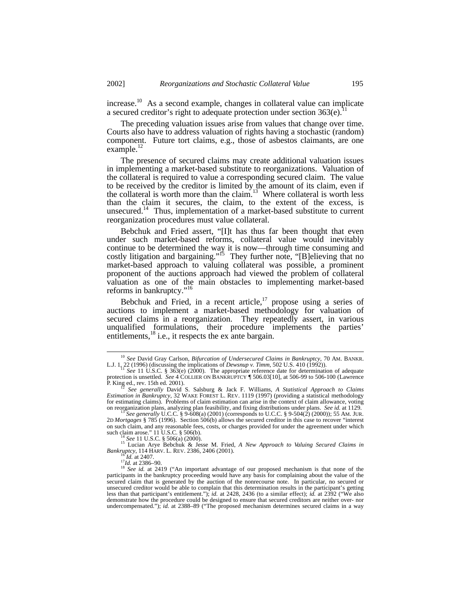increase.<sup>10</sup> As a second example, changes in collateral value can implicate a secured creditor's right to adequate protection under section  $363(e)$ <sup>11</sup>

The preceding valuation issues arise from values that change over time. Courts also have to address valuation of rights having a stochastic (random) component. Future tort claims, e.g., those of asbestos claimants, are one example. $^{12}$ 

The presence of secured claims may create additional valuation issues in implementing a market-based substitute to reorganizations. Valuation of the collateral is required to value a corresponding secured claim. The value to be received by the creditor is limited by the amount of its claim, even if the collateral is worth more than the claim.<sup>13</sup> Where collateral is worth less than the claim it secures, the claim, to the extent of the excess, is unsecured.<sup>14</sup> Thus, implementation of a market-based substitute to current reorganization procedures must value collateral.

Bebchuk and Fried assert, "[I]t has thus far been thought that even under such market-based reforms, collateral value would inevitably continue to be determined the way it is now—through time consuming and costly litigation and bargaining."<sup>15</sup> They further note, "[B]elieving that no market-based approach to valuing collateral was possible, a prominent proponent of the auctions approach had viewed the problem of collateral valuation as one of the main obstacles to implementing market-based reforms in bankruptcy."<sup>16</sup>

Bebchuk and Fried, in a recent article, $17$  propose using a series of auctions to implement a market-based methodology for valuation of secured claims in a reorganization. They repeatedly assert, in various unqualified formulations, their procedure implements the parties' entitlements, $^{18}$  i.e., it respects the ex ante bargain.

<sup>10</sup> *See* David Gray Carlson, *Bifurcation of Undersecured Claims in Bankruptcy*, 70 AM. BANKR.

L.J. 1, 22 (1996) (discussing the implications of *Dewsnup v. Timm*, 502 U.S. 410 (1992)).<br><sup>11</sup> See 11 U.S.C. § 363(e) (2000). The appropriate reference date for determination of adequate<br>protection is unsettled. See 4 COL P. King ed., rev. 15th ed. 2001).

<sup>&</sup>lt;sup>12</sup> See generally David S. Salsburg & Jack F. Williams, *A Statistical Approach to Claims*<br>*Estimation in Bankruptcy*, 32 WAKE FOREST L. REV. 1119 (1997) (providing a statistical methodology for estimating claims). Problems of claim estimation can arise in the context of claim allowance, voting

on reorganization plans, analyzing plan feasibility, and fixing distributions under plans. *See id.* at 1129.<br><sup>13</sup> See generally U.C.C. § 9-608(a) (2001) (corresponds to U.C.C. § 9-504(2) (2000)); 55 AM. JUR.<br>2D *Mortgage* on such claim, and any reasonable fees, costs, or charges provided for under the agreement under which such claim arose." 11 U.S.C. § 506(b).

*See* 11 U.S.C. § 506(a) (2000).

<sup>15</sup> Lucian Arye Bebchuk & Jesse M. Fried, *A New Approach to Valuing Secured Claims in Bankruptcy*, 114 HARV. L. REV. 2386, 2406 (2001).

<sup>16</sup> *Id.* at 2407. *Id.* at 2407.<br><sup>17</sup>*Id.* at 2386–90.<br><sup>18</sup> See id. at 241

See id. at 2419 ("An important advantage of our proposed mechanism is that none of the participants in the bankruptcy proceeding would have any basis for complaining about the value of the secured claim that is generated by the auction of the nonrecourse note. In particular, no secured or unsecured creditor would be able to complain that this determination results in the participant's getting less than that participant's entitlement."); *id.* at 2428, 2436 (to a similar effect); *id.* at 2392 ("We also demonstrate how the procedure could be designed to ensure that secured creditors are neither over- nor undercompensated."); *id.* at 2388–89 ("The proposed mechanism determines secured claims in a way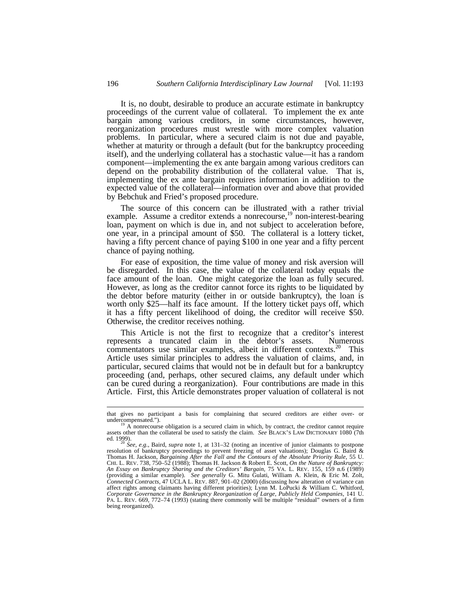It is, no doubt, desirable to produce an accurate estimate in bankruptcy proceedings of the current value of collateral. To implement the ex ante bargain among various creditors, in some circumstances, however, reorganization procedures must wrestle with more complex valuation problems. In particular, where a secured claim is not due and payable, whether at maturity or through a default (but for the bankruptcy proceeding itself), and the underlying collateral has a stochastic value—it has a random component—implementing the ex ante bargain among various creditors can depend on the probability distribution of the collateral value. That is, implementing the ex ante bargain requires information in addition to the expected value of the collateral—information over and above that provided by Bebchuk and Fried's proposed procedure.

The source of this concern can be illustrated with a rather trivial example. Assume a creditor extends a nonrecourse,<sup>19</sup> non-interest-bearing loan, payment on which is due in, and not subject to acceleration before, one year, in a principal amount of \$50. The collateral is a lottery ticket, having a fifty percent chance of paying \$100 in one year and a fifty percent chance of paying nothing.

For ease of exposition, the time value of money and risk aversion will be disregarded. In this case, the value of the collateral today equals the face amount of the loan. One might categorize the loan as fully secured. However, as long as the creditor cannot force its rights to be liquidated by the debtor before maturity (either in or outside bankruptcy), the loan is worth only \$25—half its face amount. If the lottery ticket pays off, which it has a fifty percent likelihood of doing, the creditor will receive \$50. Otherwise, the creditor receives nothing.

This Article is not the first to recognize that a creditor's interest esents a truncated claim in the debtor's assets. Numerous represents a truncated claim in the debtor's assets. commentators use similar examples, albeit in different contexts.<sup>20</sup> This Article uses similar principles to address the valuation of claims, and, in particular, secured claims that would not be in default but for a bankruptcy proceeding (and, perhaps, other secured claims, any default under which can be cured during a reorganization). Four contributions are made in this Article. First, this Article demonstrates proper valuation of collateral is not

that gives no participant a basis for complaining that secured creditors are either over- or undercompensated.").

A nonrecourse obligation is a secured claim in which, by contract, the creditor cannot require assets other than the collateral be used to satisfy the claim. *See* BLACK'S LAW DICTIONARY 1080 (7th ed. 1999). <sup>20</sup> *See, e.g.*, Baird, *supra* note 1, at 131–32 (noting an incentive of junior claimants to postpone

resolution of bankruptcy proceedings to prevent freezing of asset valuations); Douglas G. Baird & Thomas H. Jackson, *Bargaining After the Fall and the Contours of the Absolute Priority Rule*, 55 U. CHI. L. REV. 738, 750–52 (1988); Thomas H. Jackson & Robert E. Scott, *On the Nature of Bankruptcy: An Essay on Bankruptcy Sharing and the Creditors' Bargain*, 75 VA. L. REV. 155, 159 n.6 (1989) (providing a similar example). *See generally* G. Mitu Gulati, William A. Klein, & Eric M. Zolt, *Connected Contracts*, 47 UCLA L. REV. 887, 901–02 (2000) (discussing how alteration of variance can affect rights among claimants having different priorities); Lynn M. LoPucki & William C. Whitford, *Corporate Governance in the Bankruptcy Reorganization of Large, Publicly Held Companies*, 141 U. PA. L. REV. 669, 772–74 (1993) (stating there commonly will be multiple "residual" owners of a firm being reorganized).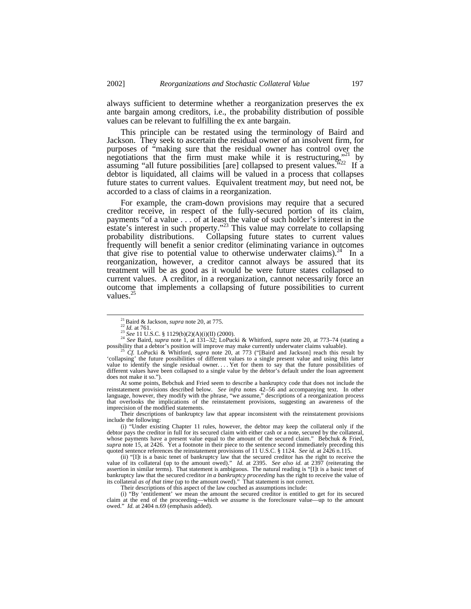always sufficient to determine whether a reorganization preserves the ex ante bargain among creditors, i.e., the probability distribution of possible values can be relevant to fulfilling the ex ante bargain.

This principle can be restated using the terminology of Baird and Jackson. They seek to ascertain the residual owner of an insolvent firm, for purposes of "making sure that the residual owner has control over the negotiations that the firm must make while it is restructuring,  $v^{21}$  by assuming "all future possibilities [are] collapsed to present values."<sup>22</sup> If a debtor is liquidated, all claims will be valued in a process that collapses future states to current values. Equivalent treatment *may*, but need not, be accorded to a class of claims in a reorganization.

For example, the cram-down provisions may require that a secured creditor receive, in respect of the fully-secured portion of its claim, payments "of a value . . . of at least the value of such holder's interest in the estate's interest in such property."<sup>23</sup> This value may correlate to collapsing probability distributions. Collapsing future states to current values frequently will benefit a senior creditor (eliminating variance in outcomes that give rise to potential value to otherwise underwater claims).<sup>24</sup> In a reorganization, however, a creditor cannot always be assured that its treatment will be as good as it would be were future states collapsed to current values. A creditor, in a reorganization, cannot necessarily force an outcome that implements a collapsing of future possibilities to current values. $25$ 

-

At some points, Bebchuk and Fried seem to describe a bankruptcy code that does not include the reinstatement provisions described below. *See infra* notes 42–56 and accompanying text. In other language, however, they modify with the phrase, "we assume," descriptions of a reorganization process that overlooks the implications of the reinstatement provisions, suggesting an awareness of the imprecision of the modified statements.

Their descriptions of bankruptcy law that appear inconsistent with the reinstatement provisions include the following:

(ii) "[I]t is a basic tenet of bankruptcy law that the secured creditor has the right to receive the value of its collateral (up to the amount owed)." *Id.* at 2395. *See also id.* at 2397 (reiterating the assertion in similar terms). That statement is ambiguous. The natural reading is "[I]t is a basic tenet of bankruptcy law that the secured creditor *in a bankruptcy proceeding* has the right to receive the value of its collateral *as of that time* (up to the amount owed)." That statement is not correct.

Their descriptions of this aspect of the law couched as assumptions include:

(i) "By 'entitlement' we mean the amount the secured creditor is entitled to get for its secured claim at the end of the proceeding—which *we assume* is the foreclosure value—up to the amount owed." *Id.* at 2404 n.69 (emphasis added).

<sup>21</sup>Baird & Jackson, *supra* note 20, at 775.

 $\frac{22}{1}$ *Id.* at 761.

<sup>23</sup> *See* 11 U.S.C. § 1129(b)(2)(A)(i)(II) (2000). <sup>24</sup> *See* Baird, *supra* note 1, at 131–32; LoPucki & Whitford, *supra* note 20, at 773–74 (stating a possibility that a debtor's position will improve may make currently underwater claims valuable).

<sup>25</sup> *Cf.* LoPucki & Whitford, *supra* note 20, at 773 ("[Baird and Jackson] reach this result by 'collapsing' the future possibilities of different values to a single present value and using this latter value to identify the single residual owner. . . . Yet for them to say that the future possibilities of different values have been collapsed to a single value by the debtor's default under the loan agreement does not make it so.").

<sup>(</sup>i) "Under existing Chapter 11 rules, however, the debtor may keep the collateral only if the debtor pays the creditor in full for its secured claim with either cash or a note, secured by the collateral, whose payments have a present value equal to the amount of the secured claim." Bebchuk & Fried, whose payments have a present value equal to the amount of the secured claim." *supra* note 15, at 2426. Yet a footnote in their piece to the sentence second immediately preceding this quoted sentence references the reinstatement provisions of 11 U.S.C. § 1124. *See id.* at 2426 n.115.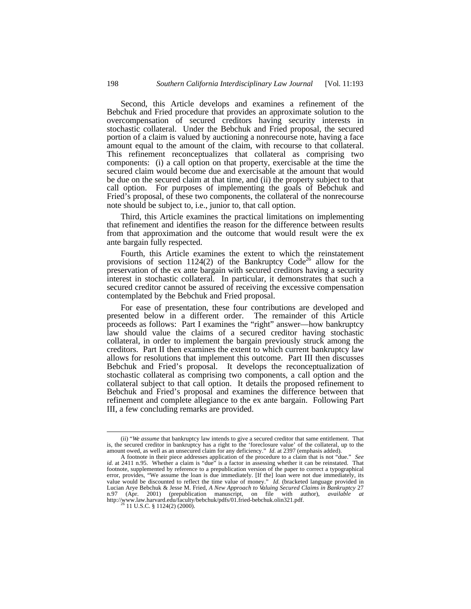Second, this Article develops and examines a refinement of the Bebchuk and Fried procedure that provides an approximate solution to the overcompensation of secured creditors having security interests in stochastic collateral. Under the Bebchuk and Fried proposal, the secured portion of a claim is valued by auctioning a nonrecourse note, having a face amount equal to the amount of the claim, with recourse to that collateral. This refinement reconceptualizes that collateral as comprising two components: (i) a call option on that property, exercisable at the time the secured claim would become due and exercisable at the amount that would be due on the secured claim at that time, and (ii) the property subject to that call option. For purposes of implementing the goals of Bebchuk and Fried's proposal, of these two components, the collateral of the nonrecourse note should be subject to, i.e., junior to, that call option.

Third, this Article examines the practical limitations on implementing that refinement and identifies the reason for the difference between results from that approximation and the outcome that would result were the ex ante bargain fully respected.

Fourth, this Article examines the extent to which the reinstatement provisions of section 1124(2) of the Bankruptcy Code<sup>26</sup> allow for the preservation of the ex ante bargain with secured creditors having a security interest in stochastic collateral. In particular, it demonstrates that such a secured creditor cannot be assured of receiving the excessive compensation contemplated by the Bebchuk and Fried proposal.

For ease of presentation, these four contributions are developed and presented below in a different order. The remainder of this Article proceeds as follows: Part I examines the "right" answer—how bankruptcy law should value the claims of a secured creditor having stochastic collateral, in order to implement the bargain previously struck among the creditors. Part II then examines the extent to which current bankruptcy law allows for resolutions that implement this outcome. Part III then discusses Bebchuk and Fried's proposal. It develops the reconceptualization of stochastic collateral as comprising two components, a call option and the collateral subject to that call option. It details the proposed refinement to Bebchuk and Fried's proposal and examines the difference between that refinement and complete allegiance to the ex ante bargain. Following Part III, a few concluding remarks are provided.

<sup>(</sup>ii) "*We assume* that bankruptcy law intends to give a secured creditor that same entitlement. That is, the secured creditor in bankruptcy has a right to the 'foreclosure value' of the collateral, up to the amount owed, as well as an unsecured claim for any deficiency." *Id.* at 2397 (emphasis added). A footnote in their piece addresses application of the procedure to a claim that is not "due." *See*

id. at 2411 n.95. Whether a claim is "due" is a factor in assessing whether it can be reinstated. That footnote, supplemented by reference to a prepublication version of the paper to correct a typographical error, provides, "We assume the loan is due immediately. [If the] loan were not due immediately, its value would be discounted to reflect the time value of money." *Id.* (bracketed language provided in Lucian Arye Bebchuk & Jesse M. Fried, *A New Approach to Valuing Secured Claims in Bankruptcy* 27 n.97 (Apr. 2001) (prepublication manuscript, on file with author), *available at* http://www.law.harvard.edu/faculty/bebchuk/pdfs/01.fried-bebchuk.olin321.pdf.<br><sup>26</sup> 11 U.S.C. § 1124(2) (2000).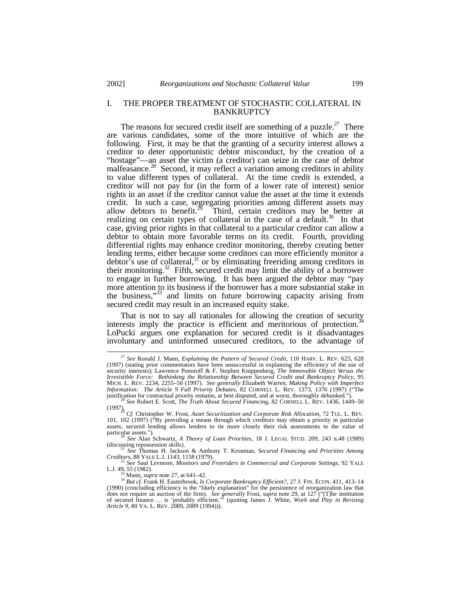# I. THE PROPER TREATMENT OF STOCHASTIC COLLATERAL IN BANKRUPTCY

The reasons for secured credit itself are something of a puzzle.<sup>27</sup> There are various candidates, some of the more intuitive of which are the following. First, it may be that the granting of a security interest allows a creditor to deter opportunistic debtor misconduct, by the creation of a "hostage"—an asset the victim (a creditor) can seize in the case of debtor malfeasance.<sup>28</sup> Second, it may reflect a variation among creditors in ability to value different types of collateral. At the time credit is extended, a creditor will not pay for (in the form of a lower rate of interest) senior rights in an asset if the creditor cannot value the asset at the time it extends credit. In such a case, segregating priorities among different assets may allow debtors to benefit.<sup>29</sup> Third, certain creditors may be better at realizing on certain types of collateral in the case of a default.<sup>30</sup> In that case, giving prior rights in that collateral to a particular creditor can allow a debtor to obtain more favorable terms on its credit. Fourth, providing differential rights may enhance creditor monitoring, thereby creating better lending terms, either because some creditors can more efficiently monitor a debtor's use of collateral, $31$  or by eliminating freeriding among creditors in their monitoring.<sup>32</sup> Fifth, secured credit may limit the ability of a borrower to engage in further borrowing. It has been argued the debtor may "pay more attention to its business if the borrower has a more substantial stake in the business,"<sup>33</sup> and limits on future borrowing capacity arising from secured credit may result in an increased equity stake.

That is not to say all rationales for allowing the creation of security interests imply the practice is efficient and meritorious of protection.<sup>3</sup> LoPucki argues one explanation for secured credit is it disadvantages involuntary and uninformed unsecured creditors, to the advantage of

<sup>27</sup> *See* Ronald J. Mann, *Explaining the Pattern of Secured Credit*, 110 HARV. L. REV. 625, 628 (1997) (stating prior commentators have been unsuccessful in explaining the efficiency of the use of security interests); Lawrence Ponoroff & F. Stephen Knippenberg, *The Immovable Object Versus the Irresistible Force: Rethinking the Relationship Between Secured Credit and Bankruptcy Policy*, 95 MICH. L. REV. 2234, 2255–56 (1997). *See generally* Elizabeth Warren, *Making Policy with Imperfect Information: The Article 9 Full Priority Debates*, 82 CORNELL L. REV. 1373, 1376 (1997) ("The justification for contractual priority remains, at best disputed, and at worst, thoroughly debunked."

<sup>28</sup> *See* Robert E. Scott, *The Truth About Secured Financing*, 82 CORNELL L. REV. 1436, 1449–50 (1997). <sup>29</sup> *Cf.* Christopher W. Frost, *Asset Securitization and Corporate Risk Allocation*, 72 TUL. L. REV.

<sup>101, 102 (1997) (&</sup>quot;By providing a means through which creditors may obtain a priority in particular assets, secured lending allows lenders to tie more closely their risk assessments to the value of particular assets.").

<sup>30</sup> *See* Alan Schwartz, *A Theory of Loan Priorities*, 18 J. LEGAL STUD. 209, 243 n.48 (1989) (discussing repossession skills).

<sup>31</sup> *See* Thomas H. Jackson & Anthony T. Kronman, *Secured Financing and Priorities Among Creditors*, 88 YALE L.J. 1143, 1158 (1979).

<sup>32</sup> *See* Saul Levmore, *Monitors and Freeriders in Commercial and Corporate Settings*, 92 YALE L.J. 49, 55 (1982). <sup>33</sup> Mann, *supra* note 27, at 641–42.

<sup>&</sup>lt;sup>34</sup> *But cf.* Frank H. Easterbrook, *Is Corporate Bankruptcy Efficient?*, 27 J. FIN. ECON. 411, 413–14 (1990) (concluding efficiency is the "likely explanation" for the persistence of reorganization law that does not require an auction of the firm). *See generally* Frost, *supra* note 29, at 127 ("[T]he institution of secured finance . . . is 'probably efficient.'" (quoting James J. White, *Work and Play in Revising Article 9*, 80 VA. L. REV. 2089, 2089 (1994))).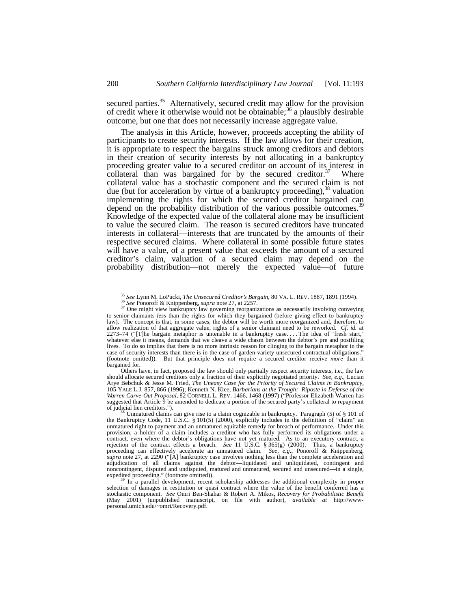secured parties.<sup>35</sup> Alternatively, secured credit may allow for the provision of credit where it otherwise would not be obtainable;<sup>36</sup> a plausibly desirable outcome, but one that does not necessarily increase aggregate value.

The analysis in this Article, however, proceeds accepting the ability of participants to create security interests. If the law allows for their creation, it is appropriate to respect the bargains struck among creditors and debtors in their creation of security interests by not allocating in a bankruptcy proceeding greater value to a secured creditor on account of its interest in collateral than was bargained for by the secured creditor. $37$  Where collateral value has a stochastic component and the secured claim is not due (but for acceleration by virtue of  $\hat{a}$  bankruptcy proceeding),<sup>38</sup> valuation implementing the rights for which the secured creditor bargained can depend on the probability distribution of the various possible outcomes.<sup>39</sup> Knowledge of the expected value of the collateral alone may be insufficient to value the secured claim. The reason is secured creditors have truncated interests in collateral—interests that are truncated by the amounts of their respective secured claims. Where collateral in some possible future states will have a value, of a present value that exceeds the amount of a secured creditor's claim, valuation of a secured claim may depend on the probability distribution—not merely the expected value—of future

<sup>35</sup> *See* Lynn M. LoPucki, *The Unsecured Creditor's Bargain*, 80 VA. L. REV. 1887, 1891 (1994). <sup>36</sup> *See* Ponoroff & Knippenberg, *supra* note 27, at 2257.

 $37$  One might view bankruptcy law governing reorganizations as necessarily involving conveying to senior claimants *less* than the rights for which they bargained (before giving effect to bankruptcy law). The concept is that, in some cases, the debtor will be worth more reorganized and, therefore, to allow realization of that aggregate value, rights of a senior claimant need to be reworked. *Cf. id.* at 2273–74 ("[T]he bargain metaphor is untenable in a bankruptcy case. . . . The idea of 'fresh start,' whatever else it means, demands that we cleave a wide chasm between the debtor's pre and postfiling lives. To do so implies that there is no more intrinsic reason for clinging to the bargain metaphor in the case of security interests than there is in the case of garden-variety unsecured contractual obligations. (footnote omitted)). But that principle does not require a secured creditor receive *more* than it bargained for.

Others have, in fact, proposed the law should only partially respect security interests, i.e., the law should allocate secured creditors only a fraction of their explicitly negotiated priority. *See, e.g.*, Lucian Arye Bebchuk & Jesse M. Fried, *The Uneasy Case for the Priority of Secured Claims in Bankruptcy*, 105 YALE L.J. 857, 866 (1996); Kenneth N. Klee, *Barbarians at the Trough: Riposte in Defense of the Warren Carve-Out Proposal*, 82 CORNELL L. REV. 1466, 1468 (1997) ("Professor Elizabeth Warren has suggested that Article 9 be amended to dedicate a portion of the secured party's collateral to repayment of judicial lien creditors.").

Unmatured claims can give rise to a claim cognizable in bankruptcy. Paragraph (5) of § 101 of the Bankruptcy Code, 11 U.S.C. § 101(5) (2000), explicitly includes in the definition of "claim" an unmatured right to payment and an unmatured equitable remedy for breach of performance. Under this provision, a holder of a claim includes a creditor who has fully performed its obligations under a contract, even where the debtor's obligations have not yet matured. As to an executory contract, a rejection of the contract effects a breach. *See* 11 U.S.C. § 365(g) (2000). Thus, a bankruptcy proceeding can effectively accelerate an unmatured claim. *See, e.g.*, Ponoroff & Knippenberg, *supra* note 27, at 2290 ("[A] bankruptcy case involves nothing less than the complete acceleration and adjudication of all claims against the debtor—liquidated and unliquidated, contingent and noncontingent, disputed and undisputed, matured and unmatured, secured and unsecured—in a single,

expedited proceeding." (footnote omitted)).<br><sup>39</sup> In a parallel development, recent scholarship addresses the additional complexity in proper<br>selection of damages in restitution or quasi contract where the value of the bene stochastic component. *See* Omri Ben-Shahar & Robert A. Mikos, *Recovery for Probabilistic Benefit* (May 2001) (unpublished manuscript, on file with author), *available at* http://www-personal.umich.edu/~omri/Recovery.pdf.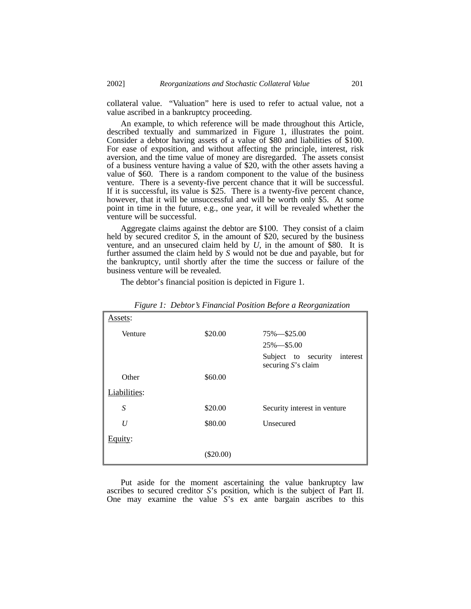collateral value. "Valuation" here is used to refer to actual value, not a value ascribed in a bankruptcy proceeding.

An example, to which reference will be made throughout this Article, described textually and summarized in Figure 1, illustrates the point. Consider a debtor having assets of a value of \$80 and liabilities of \$100. For ease of exposition, and without affecting the principle, interest, risk aversion, and the time value of money are disregarded. The assets consist of a business venture having a value of \$20, with the other assets having a value of \$60. There is a random component to the value of the business venture. There is a seventy-five percent chance that it will be successful. If it is successful, its value is \$25. There is a twenty-five percent chance, however, that it will be unsuccessful and will be worth only \$5. At some point in time in the future, e.g., one year, it will be revealed whether the venture will be successful.

Aggregate claims against the debtor are \$100. They consist of a claim held by secured creditor *S*, in the amount of \$20, secured by the business venture, and an unsecured claim held by *U*, in the amount of \$80. It is further assumed the claim held by *S* would not be due and payable, but for the bankruptcy, until shortly after the time the success or failure of the business venture will be revealed.

The debtor's financial position is depicted in Figure 1.

| Assets:          |             |                                                       |
|------------------|-------------|-------------------------------------------------------|
| Venture          | \$20.00     | 75% - \$25.00                                         |
|                  |             | $25\% - $5.00$                                        |
|                  |             | Subject to security<br>interest<br>securing S's claim |
| Other            | \$60.00     |                                                       |
| Liabilities:     |             |                                                       |
| $\boldsymbol{S}$ | \$20.00     | Security interest in venture                          |
| U                | \$80.00     | Unsecured                                             |
| Equity:          |             |                                                       |
|                  | $(\$20.00)$ |                                                       |

*Figure 1: Debtor's Financial Position Before a Reorganization*

Put aside for the moment ascertaining the value bankruptcy law ascribes to secured creditor *S*'s position, which is the subject of Part II. One may examine the value *S*'s ex ante bargain ascribes to this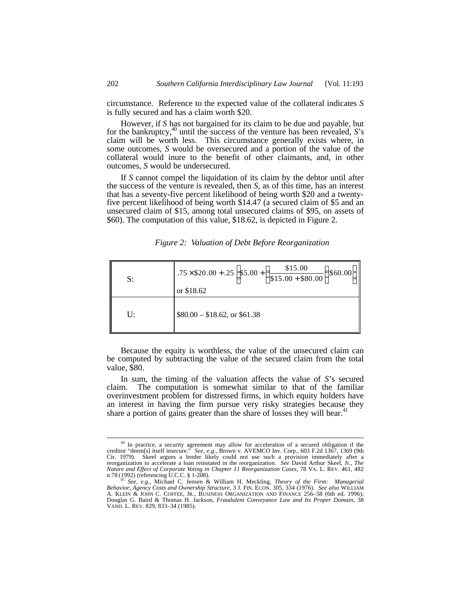circumstance. Reference to the expected value of the collateral indicates *S* is fully secured and has a claim worth \$20.

However, if *S* has not bargained for its claim to be due and payable, but for the bankruptcy,<sup>40</sup> until the success of the venture has been revealed, *S*'s claim will be worth less. This circumstance generally exists where, in some outcomes, *S* would be oversecured and a portion of the value of the collateral would inure to the benefit of other claimants, and, in other outcomes, *S* would be undersecured.

If *S* cannot compel the liquidation of its claim by the debtor until after the success of the venture is revealed, then *S*, as of this time, has an interest that has a seventy-five percent likelihood of being worth \$20 and a twentyfive percent likelihood of being worth \$14.47 (a secured claim of \$5 and an unsecured claim of \$15, among total unsecured claims of \$95, on assets of \$60). The computation of this value, \$18.62, is depicted in Figure 2.

*Figure 2: Valuation of Debt Before Reorganization*

| S: | 75 $\times$ \$20.00 + .25 $\left $ \$5.00 + $\left(\frac{$125}{$15.00} + $80.00\right)\right $<br>\$60.00<br>or \$18.62 |
|----|-------------------------------------------------------------------------------------------------------------------------|
| U: | $$80.00 - $18.62$ , or \$61.38                                                                                          |

Because the equity is worthless, the value of the unsecured claim can be computed by subtracting the value of the secured claim from the total value, \$80.

In sum, the timing of the valuation affects the value of *S*'s secured claim. The computation is somewhat similar to that of the familiar overinvestment problem for distressed firms, in which equity holders have an interest in having the firm pursue very risky strategies because they share a portion of gains greater than the share of losses they will bear.<sup>4</sup>

<sup>&</sup>lt;sup>40</sup> In practice, a security agreement may allow for acceleration of a secured obligation if the creditor "deem[s] itself insecure." *See, e.g.*, Brown v. AVEMCO Inv. Corp., 603 F.2d 1367, 1369 (9th Cir. 1979). Skeel argues a lender likely could not use such a provision immediately after a reorganization to accelerate a loan reinstated in the reorganization. *See* David Arthur Skeel, Jr., *The Nature and Effect of Corporate Voting in Chapter 11 Reorganization Cases*, 78 VA. L. REV. 461, 482

n.78 (1992) (referencing U.C.C. § 1-208).<br><sup>41</sup> *See, e.g.*, Michael C. Jensen & William H. Meckling, *Theory of the Firm: Managerial*<br>*Behavior, Agency Costs and Ownership Structure*, 3 J. FIN. ECON. 305, 334 (1976). *See* A. KLEIN & JOHN C. COFFEE, JR., BUSINESS ORGANIZATION AND FINANCE 256–58 (6th ed. 1996); Douglas G. Baird & Thomas H. Jackson, *Fraudulent Conveyance Law and Its Proper Domain*, 38 VAND. L. REV. 829, 833–34 (1985).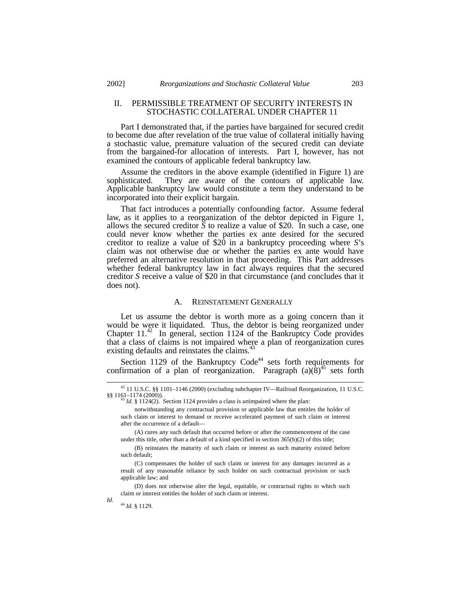# II. PERMISSIBLE TREATMENT OF SECURITY INTERESTS IN STOCHASTIC COLLATERAL UNDER CHAPTER 11

Part I demonstrated that, if the parties have bargained for secured credit to become due after revelation of the true value of collateral initially having a stochastic value, premature valuation of the secured credit can deviate from the bargained-for allocation of interests. Part I, however, has not examined the contours of applicable federal bankruptcy law.

Assume the creditors in the above example (identified in Figure 1) are sophisticated. They are aware of the contours of applicable law. They are aware of the contours of applicable law. Applicable bankruptcy law would constitute a term they understand to be incorporated into their explicit bargain.

That fact introduces a potentially confounding factor. Assume federal law, as it applies to a reorganization of the debtor depicted in Figure 1, allows the secured creditor  $\bar{S}$  to realize a value of \$20. In such a case, one could never know whether the parties ex ante desired for the secured creditor to realize a value of \$20 in a bankruptcy proceeding where *S*'s claim was not otherwise due or whether the parties ex ante would have preferred an alternative resolution in that proceeding. This Part addresses whether federal bankruptcy law in fact always requires that the secured creditor *S* receive a value of \$20 in that circumstance (and concludes that it does not).

#### A. REINSTATEMENT GENERALLY

Let us assume the debtor is worth more as a going concern than it would be were it liquidated. Thus, the debtor is being reorganized under Chapter 11.<sup>42</sup> In general, section 1124 of the Bankruptcy Code provides that a class of claims is not impaired where a plan of reorganization cures existing defaults and reinstates the claims.<sup>4</sup>

Section 1129 of the Bankruptcy  $Code<sup>44</sup>$  sets forth requirements for confirmation of a plan of reorganization. Paragraph  $(a)(\delta)^{45}$  sets forth

(A) cures any such default that occurred before or after the commencement of the case under this title, other than a default of a kind specified in section 365(b)(2) of this title;

-

*Id.*

<sup>42</sup> 11 U.S.C. §§ 1101–1146 (2000) (excluding subchapter IV—Railroad Reorganization, 11 U.S.C.  $\S$ § 1161–1174 (2000)).

<sup>43</sup> *Id*. § 1124(2). Section 1124 provides a class is *un*impaired where the plan:

notwithstanding any contractual provision or applicable law that entitles the holder of such claim or interest to demand or receive accelerated payment of such claim or interest after the occurrence of a default—

<sup>(</sup>B) reinstates the maturity of such claim or interest as such maturity existed before such default;

<sup>(</sup>C) compensates the holder of such claim or interest for any damages incurred as a result of any reasonable reliance by such holder on such contractual provision or such applicable law; and

<sup>(</sup>D) does not otherwise alter the legal, equitable, or contractual rights to which such claim or interest entitles the holder of such claim or interest.

<sup>44</sup> *Id.* § 1129.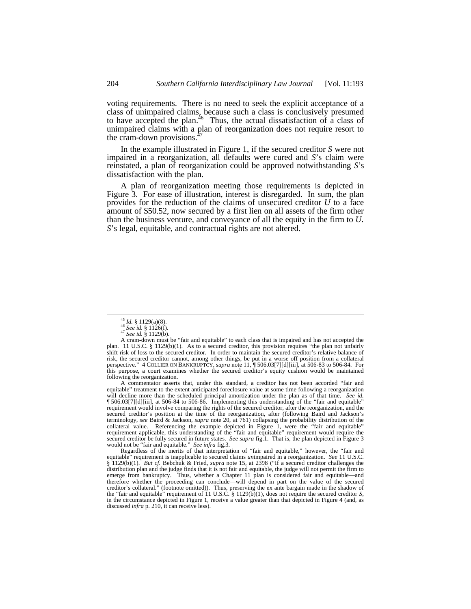voting requirements. There is no need to seek the explicit acceptance of a class of unimpaired claims, because such a class is conclusively presumed to have accepted the plan.<sup>46</sup> Thus, the actual dissatisfaction of a class of unimpaired claims with a plan of reorganization does not require resort to the cram-down provisions.<sup>4</sup>

In the example illustrated in Figure 1, if the secured creditor *S* were not impaired in a reorganization, all defaults were cured and *S*'s claim were reinstated, a plan of reorganization could be approved notwithstanding *S*'s dissatisfaction with the plan.

A plan of reorganization meeting those requirements is depicted in Figure 3. For ease of illustration, interest is disregarded. In sum, the plan provides for the reduction of the claims of unsecured creditor *U* to a face amount of \$50.52, now secured by a first lien on all assets of the firm other than the business venture, and conveyance of all the equity in the firm to *U*. *S*'s legal, equitable, and contractual rights are not altered.

-

A commentator asserts that, under this standard, a creditor has not been accorded "fair and equitable" treatment to the extent anticipated foreclosure value at some time following a reorganization will decline more than the scheduled principal amortization under the plan as of that time. *See id.* ¶ 506.03[7][d][iii], at 506-84 to 506-86. Implementing this understanding of the "fair and equitable" requirement would involve comparing the rights of the secured creditor, after the reorganization, and the secured creditor's position at the time of the reorganization, after (following Baird and Jackson's terminology, *see* Baird & Jackson, *supra* note 20, at 761) collapsing the probability distribution of the collateral value. Referencing the example depicted in Figure 1, were the "fair and equitable" requirement applicable, this understanding of the "fair and equitable" requirement would require the secured creditor be fully secured in future states. *See supra* fig.1. That is, the plan depicted in Figure 3 would not be "fair and equitable." *See infra* fig.3.

Regardless of the merits of that interpretation of "fair and equitable," however, the "fair and equitable" requirement is inapplicable to secured claims *un*impaired in a reorganization. *See* 11 U.S.C. § 1129(b)(1). *But cf.* Bebchuk & Fried, *supra* note 15, at 2398 ("If a secured creditor challenges the distribution plan and the judge finds that it is not fair and equitable, the judge will not permit the firm to emerge from bankruptcy. Thus, whether a Chapter 11 plan is considered fair and equitable—and therefore whether the proceeding can conclude—will depend in part on the value of the secured<br>creditor's collateral." (footnote omitted)). Thus, preserving the ex ante bargain made in the shadow of<br>the "fair and equitable" in the circumstance depicted in Figure 1, receive a value greater than that depicted in Figure 4 (and, as discussed *infra* p. 210, it can receive less).

<sup>45</sup> *Id.* § 1129(a)(8).

<sup>46</sup> *See id.* § 1126(f). <sup>47</sup> *See id.* § 1129(b).

A cram-down must be "fair and equitable" to each class that is impaired and has not accepted the plan. 11 U.S.C. § 1129(b)(1). As to a secured creditor, this provision requires "the plan not unfairly shift risk of loss to the secured creditor. In order to maintain the secured creditor's relative balance of risk, the secured creditor cannot, among other things, be put in a worse off position from a collateral perspective." 4 COLLIER ON BANKRUPTCY*, supra* note 11, ¶ 506.03[7][d][iii], at 506-83 to 506-84. For this purpose, a court examines whether the secured creditor's equity cushion would be maintained following the reorganization.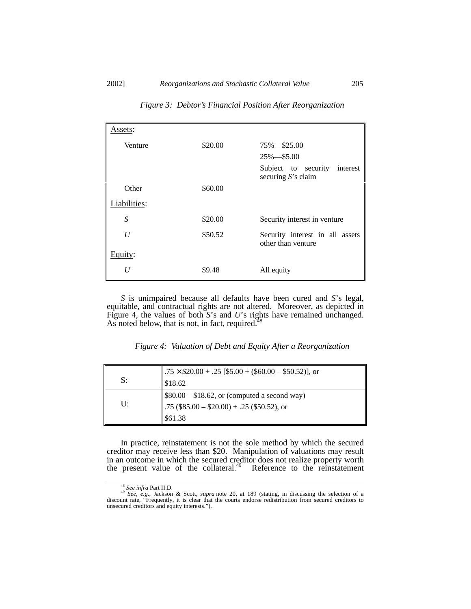| Assets:        |         |                                                          |
|----------------|---------|----------------------------------------------------------|
| Venture        | \$20.00 | $75\% - $25.00$                                          |
|                |         | $25\% - $5.00$                                           |
|                |         | Subject to security<br>interest<br>securing $S$ 's claim |
| Other          | \$60.00 |                                                          |
| Liabilities:   |         |                                                          |
| S              | \$20.00 | Security interest in venture                             |
| U              | \$50.52 | Security interest in all assets<br>other than venture    |
| Equity:        |         |                                                          |
| $\overline{U}$ | \$9.48  | All equity                                               |

*Figure 3: Debtor's Financial Position After Reorganization*

*S* is unimpaired because all defaults have been cured and *S*'s legal, equitable, and contractual rights are not altered. Moreover, as depicted in Figure 4, the values of both *S*'s and *U*'s rights have remained unchanged. As noted below, that is not, in fact, required. $48$ 

*Figure 4: Valuation of Debt and Equity After a Reorganization*

|    | .75 $\times$ \$20.00 + .25 [\$5.00 + (\$60.00 – \$50.52)], or |
|----|---------------------------------------------------------------|
| S: | \$18.62                                                       |
|    | $\frac{1}{2}$ \$80.00 – \$18.62, or (computed a second way)   |
| U: | .75 $(\$85.00 - \$20.00) + .25$ $(\$50.52)$ , or              |
|    | \$61.38                                                       |

In practice, reinstatement is not the sole method by which the secured creditor may receive less than \$20. Manipulation of valuations may result in an outcome in which the secured creditor does not realize property worth the present value of the collateral.<sup>49</sup> Reference to the reinstatement

<sup>48</sup> *See infra* Part II.D. <sup>49</sup> *See, e.g.*, Jackson & Scott, *supra* note 20, at 189 (stating, in discussing the selection of a discount rate, "Frequently, it is clear that the courts endorse redistribution from secured creditors to unsecured creditors and equity interests.").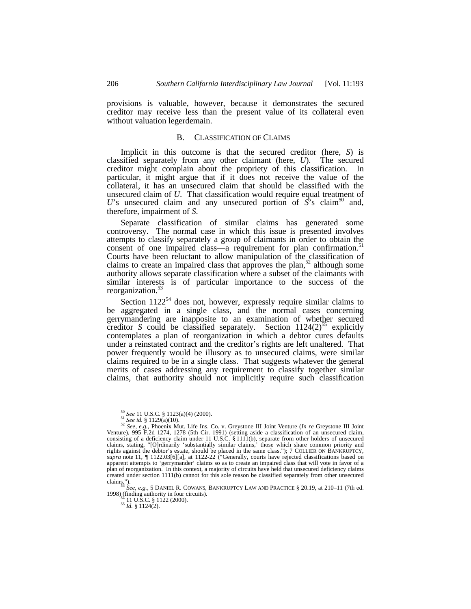provisions is valuable, however, because it demonstrates the secured creditor may receive less than the present value of its collateral even without valuation legerdemain.

# B. CLASSIFICATION OF CLAIMS

Implicit in this outcome is that the secured creditor (here, *S*) is classified separately from any other claimant (here, *U*). The secured creditor might complain about the propriety of this classification. In particular, it might argue that if it does not receive the value of the collateral, it has an unsecured claim that should be classified with the unsecured claim of *U*. That classification would require equal treatment of U's unsecured claim and any unsecured portion of  $\hat{S}$ 's claim<sup>50</sup> and, therefore, impairment of *S*.

Separate classification of similar claims has generated some controversy. The normal case in which this issue is presented involves attempts to classify separately a group of claimants in order to obtain the consent of one impaired class—a requirement for plan confirmation.<sup>5</sup> Courts have been reluctant to allow manipulation of the classification of claims to create an impaired class that approves the plan, $52$  although some authority allows separate classification where a subset of the claimants with similar interests is of particular importance to the success of the reorganization.<sup>5</sup>

Section  $1122^{54}$  does not, however, expressly require similar claims to be aggregated in a single class, and the normal cases concerning gerrymandering are inapposite to an examination of whether secured creditor *S* could be classified separately. Section  $1124(2)^{55}$  explicitly contemplates a plan of reorganization in which a debtor cures defaults under a reinstated contract and the creditor's rights are left unaltered. That power frequently would be illusory as to unsecured claims, were similar claims required to be in a single class. That suggests whatever the general merits of cases addressing any requirement to classify together similar claims, that authority should not implicitly require such classification

-

<sup>54</sup> 11 U.S.C. § 1122 (2000). <sup>55</sup> *Id.* § 1124(2).

<sup>50</sup> *See* 11 U.S.C. § 1123(a)(4) (2000).

<sup>51</sup> *See id.* § 1129(a)(10).

<sup>&</sup>lt;sup>52</sup> See, e.g., Phoenix Mut. Life Ins. Co. v. Greystone III Joint Venture (*In re* Greystone III Joint Venture), 995 F.2d 1274, 1278 (5th Cir. 1991) (setting aside a classification of an unsecured claim, consisting of a d claims, stating, "[O]rdinarily 'substantially similar claims,' those which share common priority and rights against the debtor's estate, should be placed in the same class."); 7 COLLIER ON BANKRUPTCY*, supra* note 11, ¶ 1122.03[6][a], at 1122-22 ("Generally, courts have rejected classifications based on apparent attempts to 'gerrymander' claims so as to create an impaired class that will vote in favor of a plan of reorganization. In this context, a majority of circuits have held that unsecured deficiency claims created under section 1111(b) cannot for this sole reason be classified separately from other unsecured

claims."). <sup>53</sup> *See, e.g.*, 5 DANIEL R. COWANS, BANKRUPTCY LAW AND PRACTICE § 20.19, at 210–11 (7th ed. 1998) (finding authority in four circuits).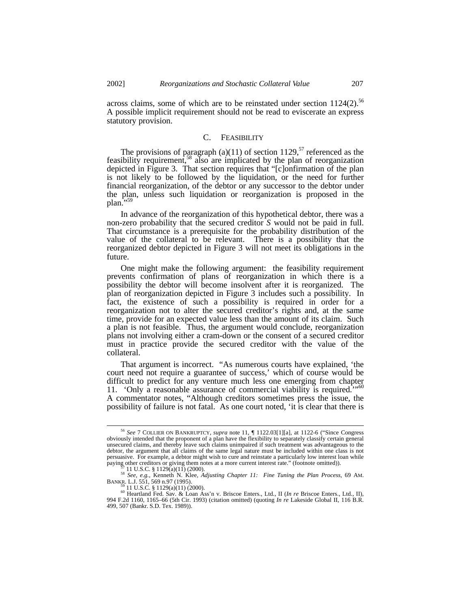across claims, some of which are to be reinstated under section  $1124(2)$ .<sup>56</sup> A possible implicit requirement should not be read to eviscerate an express statutory provision.

# C. FEASIBILITY

The provisions of paragraph (a)(11) of section 1129,<sup>57</sup> referenced as the feasibility requirement,<sup>58</sup> also are implicated by the plan of reorganization depicted in Figure 3. That section requires that "[c]onfirmation of the plan is not likely to be followed by the liquidation, or the need for further financial reorganization, of the debtor or any successor to the debtor under the plan, unless such liquidation or reorganization is proposed in the plan.

In advance of the reorganization of this hypothetical debtor, there was a non-zero probability that the secured creditor *S* would not be paid in full. That circumstance is a prerequisite for the probability distribution of the value of the collateral to be relevant. There is a possibility that the reorganized debtor depicted in Figure 3 will not meet its obligations in the future.

One might make the following argument: the feasibility requirement prevents confirmation of plans of reorganization in which there is a possibility the debtor will become insolvent after it is reorganized. The plan of reorganization depicted in Figure 3 includes such a possibility. In fact, the existence of such a possibility is required in order for a reorganization not to alter the secured creditor's rights and, at the same time, provide for an expected value less than the amount of its claim. Such a plan is not feasible. Thus, the argument would conclude, reorganization plans not involving either a cram-down or the consent of a secured creditor must in practice provide the secured creditor with the value of the collateral.

That argument is incorrect. "As numerous courts have explained, 'the court need not require a guarantee of success,' which of course would be difficult to predict for any venture much less one emerging from chapter 11. 'Only a reasonable assurance of commercial viability is required.'"<sup>60</sup> A commentator notes, "Although creditors sometimes press the issue, the possibility of failure is not fatal. As one court noted, 'it is clear that there is

<sup>56</sup> *See* 7 COLLIER ON BANKRUPTCY, *supra* note 11, ¶ 1122.03[1][a], at 1122-6 ("Since Congress obviously intended that the proponent of a plan have the flexibility to separately classify certain general unsecured claims, and thereby leave such claims unimpaired if such treatment was advantageous to the debtor, the argument that all claims of the same legal nature must be included within one class is not persuasive. For example, a debtor might wish to cure and reinstate a particularly low interest loan while paying other creditors or giving them notes at a more current interest rate." (footnote omitted)).<br>
<sup>57</sup> 11 U.S.C. § 1129(a)(11) (2000).<br>
<sup>58</sup> *See, e.g.*, Kenneth N. Klee, *Adjusting Chapter 11: Fine Tuning the Plan Proc* 

BANKR. L.J. 551, 569 n.97 (1995).<br><sup>59</sup> 11 U.S.C. § 1129(a)(11) (2000).

<sup>60</sup> Heartland Fed. Sav. & Loan Ass'n v. Briscoe Enters., Ltd., II (*In re* Briscoe Enters., Ltd., II), 994 F.2d 1160, 1165–66 (5th Cir. 1993) (citation omitted) (quoting *In re* Lakeside Global II, 116 B.R. 499, 507 (Bankr. S.D. Tex. 1989)).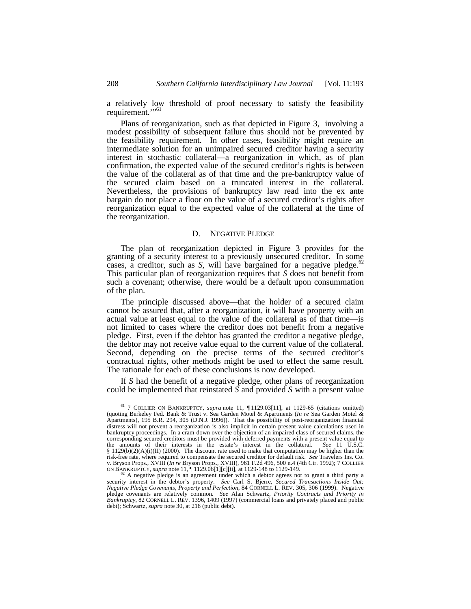a relatively low threshold of proof necessary to satisfy the feasibility requirement."<sup>51</sup>

Plans of reorganization, such as that depicted in Figure 3, involving a modest possibility of subsequent failure thus should not be prevented by the feasibility requirement. In other cases, feasibility might require an intermediate solution for an unimpaired secured creditor having a security interest in stochastic collateral—a reorganization in which, as of plan confirmation, the expected value of the secured creditor's rights is between the value of the collateral as of that time and the pre-bankruptcy value of the secured claim based on a truncated interest in the collateral. Nevertheless, the provisions of bankruptcy law read into the ex ante bargain do not place a floor on the value of a secured creditor's rights after reorganization equal to the expected value of the collateral at the time of the reorganization.

#### D. NEGATIVE PLEDGE

The plan of reorganization depicted in Figure 3 provides for the granting of a security interest to a previously unsecured creditor. In some cases, a creditor, such as *S*, will have bargained for a negative pledge.<sup>62</sup> This particular plan of reorganization requires that *S* does not benefit from such a covenant; otherwise, there would be a default upon consummation of the plan.

The principle discussed above—that the holder of a secured claim cannot be assured that, after a reorganization, it will have property with an actual value at least equal to the value of the collateral as of that time—is not limited to cases where the creditor does not benefit from a negative pledge. First, even if the debtor has granted the creditor a negative pledge, the debtor may not receive value equal to the current value of the collateral. Second, depending on the precise terms of the secured creditor's contractual rights, other methods might be used to effect the same result. The rationale for each of these conclusions is now developed.

If *S* had the benefit of a negative pledge, other plans of reorganization could be implemented that reinstated *S* and provided *S* with a present value

<sup>61</sup> 7 COLLIER ON BANKRUPTCY, *supra* note 11, ¶ 1129.03[11], at 1129-65 (citations omitted) (quoting Berkeley Fed. Bank & Trust v. Sea Garden Motel & Apartments (*In re* Sea Garden Motel & Apartments), 195 B.R. 294, 305 (D.N.J. 1996)). That the possibility of post-reorganization financial distress will not prevent a reorganization is also implicit in certain present value calculations used in bankruptcy proceedings. In a cram-down over the objection of an impaired class of secured claims, the corresponding secured creditors must be provided with deferred payments with a present value equal to the amounts of their interests in the estate's interest in the collateral. See 11 U.S.C. the amounts of their interests in the estate's interest in the collateral.  $§ 1129(b)(2)(A)(i)(II) (2000).$  The discount rate used to make that computation may be higher than the risk-free rate, where required to compensate the secured creditor for default risk. *See* Travelers Ins. Co. v. Bryson Props., XVIII (*In re* Bryson Props., XVIII), 961 F.2d 496, 500 n.4 (4th Cir. 1992); 7 COLLIER ON BANKRUPTCY, *supra* note 11, ¶ 1129.06[1][c][ii], at 1129-148 to 1129-149.

 $62$  A negative pledge is an agreement under which a debtor agrees not to grant a third party a security interest in the debtor's property. *See* Carl S. Bjerre, *Secured Transactions Inside Out: Negative Pledge Covenants, Property and Perfection*, 84 CORNELL L. REV. 305, 306 (1999). Negative pledge covenants are relatively common. *See* Alan Schwartz, *Priority Contracts and Priority in Bankruptcy*, 82 CORNELL L. REV. 1396, 1409 (1997) (commercial loans and privately placed and public debt); Schwartz, *supra* note 30, at 218 (public debt).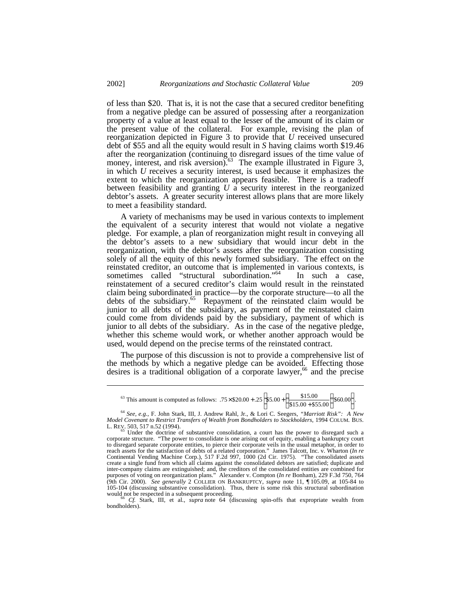of less than \$20. That is, it is not the case that a secured creditor benefiting from a negative pledge can be assured of possessing after a reorganization property of a value at least equal to the lesser of the amount of its claim or the present value of the collateral. For example, revising the plan of reorganization depicted in Figure 3 to provide that *U* received unsecured debt of \$55 and all the equity would result in *S* having claims worth \$19.46 after the reorganization (continuing to disregard issues of the time value of money, interest, and risk aversion).<sup>63</sup> The example illustrated in Figure 3, in which *U* receives a security interest, is used because it emphasizes the extent to which the reorganization appears feasible. There is a tradeoff between feasibility and granting *U* a security interest in the reorganized debtor's assets. A greater security interest allows plans that are more likely to meet a feasibility standard.

A variety of mechanisms may be used in various contexts to implement the equivalent of a security interest that would not violate a negative pledge. For example, a plan of reorganization might result in conveying all the debtor's assets to a new subsidiary that would incur debt in the reorganization, with the debtor's assets after the reorganization consisting solely of all the equity of this newly formed subsidiary. The effect on the reinstated creditor, an outcome that is implemented in various contexts, is sometimes called "structural subordination."<sup>64</sup> In such a case, reinstatement of a secured creditor's claim would result in the reinstated claim being subordinated in practice—by the corporate structure—to all the debts of the subsidiary.<sup>65</sup> Repayment of the reinstated claim would be junior to all debts of the subsidiary, as payment of the reinstated claim could come from dividends paid by the subsidiary, payment of which is junior to all debts of the subsidiary. As in the case of the negative pledge, whether this scheme would work, or whether another approach would be used, would depend on the precise terms of the reinstated contract.

The purpose of this discussion is not to provide a comprehensive list of the methods by which a negative pledge can be avoided. Effecting those desires is a traditional obligation of a corporate lawyer, $66$  and the precise

-

<sup>63</sup> This amount is computed as follows:  $.75 \times $20.00 + .25 \left[ $5.00 + \left( \frac{$13.00}{\$15.00 + \$55.00} \right) \right] \right]$ \$60.00  $\left[ $5.00 + \left( \frac{$15.00}{$15.00 + $55.00} \right) $60.00 \right]$  $\frac{$15.00 + \left( \frac{$15.00}{\$15.00 + \$55.00} \right)}$  $\left(\frac{$15.00}{$15.00 + $55.00}\right)$ ſ  $\times$ \$20.00 + .25 \$5.00 +  $\frac{$12,00}{$15.00 + $55.00}$  \$60.00  $.75 \times \$20.00 + .25 \Big| \$5.00 + \Big( \frac{\$15.00}{\frac{1}{25}} \Big| \$60.00 \Big| \Big|$ 

<sup>66</sup> *Cf.* Stark, III, et al., *supra* note 64 (discussing spin-offs that expropriate wealth from bondholders).

<sup>64</sup> *See, e.g.*, F. John Stark, III, J. Andrew Rahl, Jr., & Lori C. Seegers, *"Marriott Risk": A New Model Covenant to Restrict Transfers of Wealth from Bondholders to Stockholders*, 1994 COLUM. BUS. L. REV. 503, 517 n.52 (1994).<br><sup>65</sup> Under the doctrine of substantive consolidation, a court has the power to disregard such a

corporate structure. "The power to consolidate is one arising out of equity, enabling a bankruptcy court to disregard separate corporate entities, to pierce their corporate veils in the usual metaphor, in order to reach assets for the satisfaction of debts of a related corporation." James Talcott, Inc. v. Wharton (In re<br>Conti create a single fund from which all claims against the consolidated debtors are satisfied; duplicate and inter-company claims are extinguished; and, the creditors of the consolidated entities are combined for purposes of voting on reorganization plans." Alexander v. Compton (*In re* Bonham), 229 F.3d 750, 764 (9th Cir. 2000). *See generally* 2 COLLIER ON BANKRUPTCY, *supra* note 11, ¶ 105.09, at 105-84 to 105-104 (discussing substantive consolidation). Thus, there is some risk this structural subordination would not be respected in a subsequent proceeding.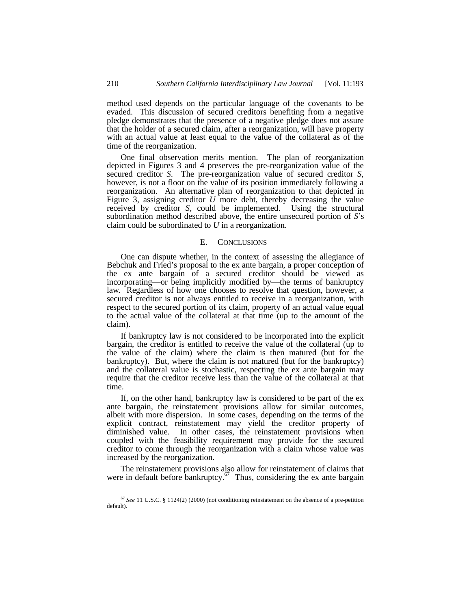method used depends on the particular language of the covenants to be evaded. This discussion of secured creditors benefiting from a negative pledge demonstrates that the presence of a negative pledge does not assure that the holder of a secured claim, after a reorganization, will have property with an actual value at least equal to the value of the collateral as of the time of the reorganization.

One final observation merits mention. The plan of reorganization depicted in Figures 3 and 4 preserves the pre-reorganization value of the secured creditor *S*. The pre-reorganization value of secured creditor *S*, however, is not a floor on the value of its position immediately following a reorganization. An alternative plan of reorganization to that depicted in Figure 3, assigning creditor  $U$  more debt, thereby decreasing the value received by creditor *S*, could be implemented. Using the structural subordination method described above, the entire unsecured portion of *S*'s claim could be subordinated to *U* in a reorganization.

# E. CONCLUSIONS

One can dispute whether, in the context of assessing the allegiance of Bebchuk and Fried's proposal to the ex ante bargain, a proper conception of the ex ante bargain of a secured creditor should be viewed as incorporating—or being implicitly modified by—the terms of bankruptcy law. Regardless of how one chooses to resolve that question, however, a secured creditor is not always entitled to receive in a reorganization, with respect to the secured portion of its claim, property of an actual value equal to the actual value of the collateral at that time (up to the amount of the claim).

If bankruptcy law is not considered to be incorporated into the explicit bargain, the creditor is entitled to receive the value of the collateral (up to the value of the claim) where the claim is then matured (but for the bankruptcy). But, where the claim is not matured (but for the bankruptcy) and the collateral value is stochastic, respecting the ex ante bargain may require that the creditor receive less than the value of the collateral at that time.

If, on the other hand, bankruptcy law is considered to be part of the ex ante bargain, the reinstatement provisions allow for similar outcomes, albeit with more dispersion. In some cases, depending on the terms of the explicit contract, reinstatement may yield the creditor property of diminished value. In other cases, the reinstatement provisions when coupled with the feasibility requirement may provide for the secured creditor to come through the reorganization with a claim whose value was increased by the reorganization.

The reinstatement provisions also allow for reinstatement of claims that were in default before bankruptcy.<sup>67</sup> Thus, considering the ex ante bargain

<sup>67</sup> *See* 11 U.S.C. § 1124(2) (2000) (not conditioning reinstatement on the absence of a pre-petition default).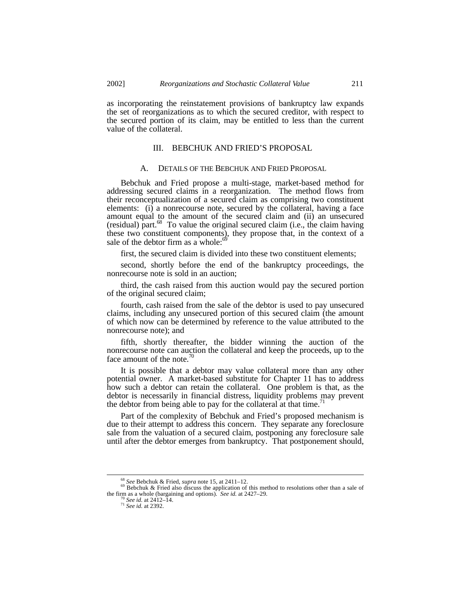as incorporating the reinstatement provisions of bankruptcy law expands the set of reorganizations as to which the secured creditor, with respect to the secured portion of its claim, may be entitled to less than the current value of the collateral.

# III. BEBCHUK AND FRIED'S PROPOSAL

# A. DETAILS OF THE BEBCHUK AND FRIED PROPOSAL

Bebchuk and Fried propose a multi-stage, market-based method for addressing secured claims in a reorganization. The method flows from their reconceptualization of a secured claim as comprising two constituent elements: (i) a nonrecourse note, secured by the collateral, having a face amount equal to the amount of the secured claim and (ii) an unsecured (residual) part. $^{68}$  To value the original secured claim (i.e., the claim having these two constituent components), they propose that, in the context of a sale of the debtor firm as a whole:<sup>6</sup>

first, the secured claim is divided into these two constituent elements;

second, shortly before the end of the bankruptcy proceedings, the nonrecourse note is sold in an auction;

third, the cash raised from this auction would pay the secured portion of the original secured claim;

fourth, cash raised from the sale of the debtor is used to pay unsecured claims, including any unsecured portion of this secured claim (the amount of which now can be determined by reference to the value attributed to the nonrecourse note); and

fifth, shortly thereafter, the bidder winning the auction of the nonrecourse note can auction the collateral and keep the proceeds, up to the face amount of the note. $\frac{70}{2}$ 

It is possible that a debtor may value collateral more than any other potential owner. A market-based substitute for Chapter 11 has to address how such a debtor can retain the collateral. One problem is that, as the debtor is necessarily in financial distress, liquidity problems may prevent the debtor from being able to pay for the collateral at that time.<sup>7</sup>

Part of the complexity of Bebchuk and Fried's proposed mechanism is due to their attempt to address this concern. They separate any foreclosure sale from the valuation of a secured claim, postponing any foreclosure sale until after the debtor emerges from bankruptcy. That postponement should,

<sup>68</sup> *See* Bebchuk & Fried, *supra* note 15, at 2411–12. <sup>69</sup> Bebchuk & Fried also discuss the application of this method to resolutions other than a sale of the firm as a whole (bargaining and options). *See id.* at 2427–29.

<sup>70</sup> *See id.* at 2412–14. <sup>71</sup> *See id.* at 2392.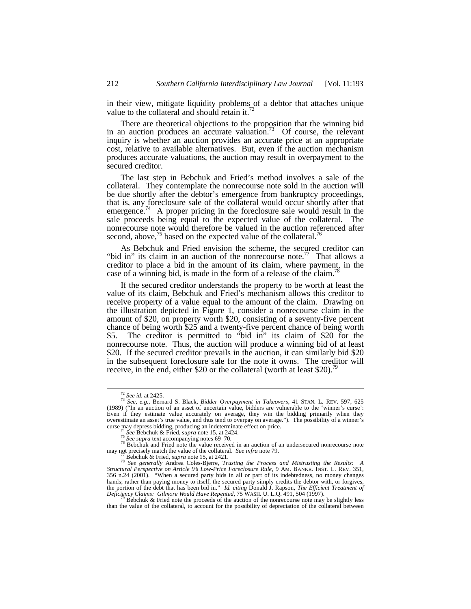in their view, mitigate liquidity problems of a debtor that attaches unique value to the collateral and should retain it.<sup>72</sup>

There are theoretical objections to the proposition that the winning bid in an auction produces an accurate valuation.<sup>73</sup> Of course, the relevant inquiry is whether an auction provides an accurate price at an appropriate cost, relative to available alternatives. But, even if the auction mechanism produces accurate valuations, the auction may result in overpayment to the secured creditor.

The last step in Bebchuk and Fried's method involves a sale of the collateral. They contemplate the nonrecourse note sold in the auction will be due shortly after the debtor's emergence from bankruptcy proceedings, that is, any foreclosure sale of the collateral would occur shortly after that emergence.<sup>74</sup> A proper pricing in the foreclosure sale would result in the sale proceeds being equal to the expected value of the collateral. The nonrecourse note would therefore be valued in the auction referenced after second, above, $75$  based on the expected value of the collateral.<sup>76</sup>

As Bebchuk and Fried envision the scheme, the secured creditor can "bid in" its claim in an auction of the nonrecourse note.<sup>77</sup> That allows a creditor to place a bid in the amount of its claim, where payment, in the case of a winning bid, is made in the form of a release of the claim.<sup>18</sup>

If the secured creditor understands the property to be worth at least the value of its claim, Bebchuk and Fried's mechanism allows this creditor to receive property of a value equal to the amount of the claim. Drawing on the illustration depicted in Figure 1, consider a nonrecourse claim in the amount of \$20, on property worth \$20, consisting of a seventy-five percent chance of being worth \$25 and a twenty-five percent chance of being worth \$5. The creditor is permitted to "bid in" its claim of \$20 for the nonrecourse note. Thus, the auction will produce a winning bid of at least \$20. If the secured creditor prevails in the auction, it can similarly bid \$20 in the subsequent foreclosure sale for the note it owns. The creditor will receive, in the end, either \$20 or the collateral (worth at least \$20).<sup>79</sup>

<sup>72</sup> *See id.* at 2425.

<sup>73</sup> *See, e.g.*, Bernard S. Black, *Bidder Overpayment in Takeovers*, 41 STAN. L. REV. 597, 625 (1989) ("In an auction of an asset of uncertain value, bidders are vulnerable to the 'winner's curse': Even if they estimate value accurately on average, they win the bidding primarily when they overestimate an asset's true value, and thus tend to overpay on average."). The possibility of a winner's curse may depress bidding, producing an indeterminate effect on price.

<sup>74</sup> *See* Bebchuk & Fried, *supra* note 15, at 2424.

<sup>75</sup> *See supra* text accompanying notes 69–70.

 $\frac{76}{2}$  Bebchuk and Fried note the value received in an auction of an undersecured nonrecourse note may not precisely match the value of the collateral. *See infra* note 79.

Bebchuk & Fried, *supra* note 15, at 2421.

<sup>&</sup>lt;sup>78</sup> See generally Andrea Coles-Bjerre, *Trusting the Process and Mistrusting the Results: A*<br>*Structural Perspective on Article 9's Low-Price Foreclosure Rule*, 9 AM. BANKR. INST. L. REV. 351, 356 n.24 (2001). "When a secured party bids in all or part of its indebtedness, no money changes hands; rather than paying money to itself, the secured party simply credits the debtor with, or forgives, the portion of the debt that has been bid in." *Id. citing* Donald J. Rapson, *The Efficient Treatment of Deficiency* 

Bebchuk & Fried note the proceeds of the auction of the nonrecourse note may be slightly less than the value of the collateral, to account for the possibility of depreciation of the collateral between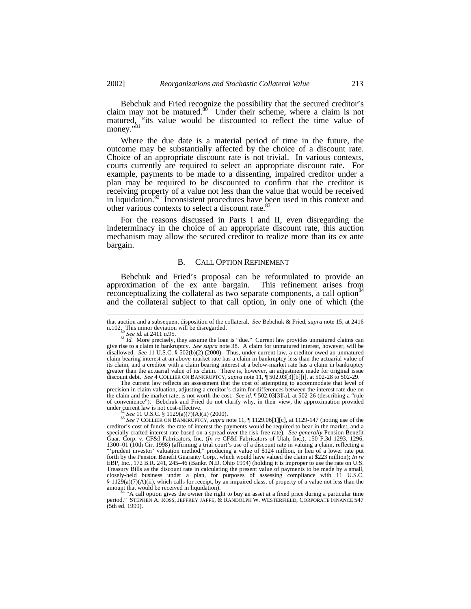Bebchuk and Fried recognize the possibility that the secured creditor's claim may not be matured.<sup>80</sup> Under their scheme, where a claim is not matured, "its value would be discounted to reflect the time value of  $\frac{1}{2}$  money."<sup>81</sup>

Where the due date is a material period of time in the future, the outcome may be substantially affected by the choice of a discount rate. Choice of an appropriate discount rate is not trivial. In various contexts, courts currently are required to select an appropriate discount rate. For example, payments to be made to a dissenting, impaired creditor under a plan may be required to be discounted to confirm that the creditor is receiving property of a value not less than the value that would be received in liquidation.<sup>82</sup> Inconsistent procedures have been used in this context and other various contexts to select a discount rate.<sup>8</sup>

For the reasons discussed in Parts I and II, even disregarding the indeterminacy in the choice of an appropriate discount rate, this auction mechanism may allow the secured creditor to realize more than its ex ante bargain.

# B. CALL OPTION REFINEMENT

Bebchuk and Fried's proposal can be reformulated to provide an approximation of the ex ante bargain. This refinement arises from reconceptualizing the collateral as two separate components, a call option<sup>84</sup> and the collateral subject to that call option, in only one of which (the

-

The current law reflects an assessment that the cost of attempting to accommodate that level of precision in claim valuation, adjusting a creditor's claim for differences between the interest rate due on the claim and the market rate, is not worth the cost. *See id.* ¶ 502.03[3][a], at 502-26 (describing a "rule of convenience"). Bebchuk and Fried do not clarify why, in their view, the approximation provided under current law is not cost-effective.

<sup>82</sup> *See* 11 U.S.C. § 1129(a)(7)(A)(ii) (2000).

<sup>84</sup> "A call option gives the owner the right to buy an asset at a fixed price during a particular time period." STEPHEN A. ROSS, JEFFREY JAFFE, & RANDOLPH W. WESTERFIELD, CORPORATE FINANCE 547 (5th ed. 1999).

that auction and a subsequent disposition of the collateral. *See* Bebchuk & Fried, *supra* note 15, at 2416 n.102. This minor deviation will be disregarded.

<sup>80</sup> *See id.* at 2411 n.95.

 $81$  *Id.* More precisely, they assume the loan is "due." Current law provides unmatured claims can give rise to a claim in bankruptcy. *See supra* note 38. A claim for unmatured interest, however, will be disallowed. *See* 11 U.S.C. § 502(b)(2) (2000). Thus, under current law, a creditor owed an unmatured claim bearing interest at an above-market rate has a claim in bankruptcy less than the actuarial value of its claim, and a creditor with a claim bearing interest at a below-market rate has a claim in bankruptcy greater than the actuarial value of its claim. There is, however, an adjustment made for original issue discount debt. *See* 4 COLLIER ON BANKRUPTCY, *supra* note 11, ¶ 502.03[3][b][i], at 502-28 to 502-29.

<sup>83</sup> *See* 7 COLLIER ON BANKRUPTCY, *supra* note 11, ¶ 1129.06[1][c], at 1129-147 (noting use of the creditor's cost of funds, the rate of interest the payments would be required to bear in the market, and a specially crafted interest rate based on a spread over the risk-free rate). *See generally* Pension Benefit Guar. Corp. v. CF&I Fabricators, Inc. (*In re* CF&I Fabricators of Utah, Inc.), 150 F.3d 1293, 1296, 1300–01 (10th Cir. 1998) (affirming a trial court's use of a discount rate in valuing a claim, reflecting a<br>"'prudent investor' valuation method," producing a value of \$124 million, in lieu of a lower rate put<br>forth by the EBP, Inc., 172 B.R. 241, 245–46 (Bankr. N.D. Ohio 1994) (holding it is improper to use the rate on U.S. Treasury Bills as the discount rate in calculating the present value of payments to be made by a small, closely-held business under a plan, for purposes of assessing compliance with 11 U.S.C. § 1129(a)(7)(A)(ii), which calls for receipt, by an impaired class, of property of a value not less than the amount that would be received in liquidation).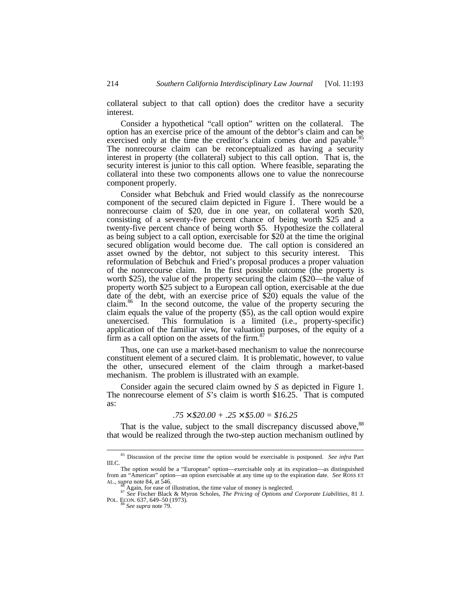collateral subject to that call option) does the creditor have a security interest.

Consider a hypothetical "call option" written on the collateral. The option has an exercise price of the amount of the debtor's claim and can be exercised only at the time the creditor's claim comes due and payable.<sup>85</sup> The nonrecourse claim can be reconceptualized as having a security interest in property (the collateral) subject to this call option. That is, the security interest is junior to this call option. Where feasible, separating the collateral into these two components allows one to value the nonrecourse component properly.

Consider what Bebchuk and Fried would classify as the nonrecourse component of the secured claim depicted in Figure 1. There would be a nonrecourse claim of \$20, due in one year, on collateral worth \$20, consisting of a seventy-five percent chance of being worth \$25 and a twenty-five percent chance of being worth \$5. Hypothesize the collateral as being subject to a call option, exercisable for  $$20$  at the time the original secured obligation would become due. The call option is considered an asset owned by the debtor, not subject to this security interest. This reformulation of Bebchuk and Fried's proposal produces a proper valuation of the nonrecourse claim. In the first possible outcome (the property is worth \$25), the value of the property securing the claim (\$20—the value of property worth \$25 subject to a European call option, exercisable at the due date of the debt, with an exercise price of \$20) equals the value of the claim.<sup>86</sup> In the second outcome, the value of the property securing the claim equals the value of the property (\$5), as the call option would expire unexercised. This formulation is a limited (i.e., property-specific) This formulation is a limited (i.e., property-specific) application of the familiar view, for valuation purposes, of the equity of a firm as a call option on the assets of the firm. $8<sup>8</sup>$ 

Thus, one can use a market-based mechanism to value the nonrecourse constituent element of a secured claim. It is problematic, however, to value the other, unsecured element of the claim through a market-based mechanism. The problem is illustrated with an example.

Consider again the secured claim owned by *S* as depicted in Figure 1. The nonrecourse element of *S*'s claim is worth \$16.25. That is computed as:

$$
.75 \times \$20.00 + .25 \times \$5.00 = \$16.25
$$

That is the value, subject to the small discrepancy discussed above,<sup>88</sup> that would be realized through the two-step auction mechanism outlined by

<sup>85</sup> Discussion of the precise time the option would be exercisable is postponed. *See infra* Part III.C.

The option would be a "European" option—exercisable only at its expiration—as distinguished from an "American" option—an option exercisable at any time up to the expiration date. *See* ROSS ET AL., *supra* note 84, at 546.

Again, for ease of illustration, the time value of money is neglected.

<sup>87</sup> *See* Fischer Black & Myron Scholes, *The Pricing of Options and Corporate Liabilities*, 81 J. POL. ECON. 637, 649–50 (1973). <sup>88</sup> *See supra* note 79.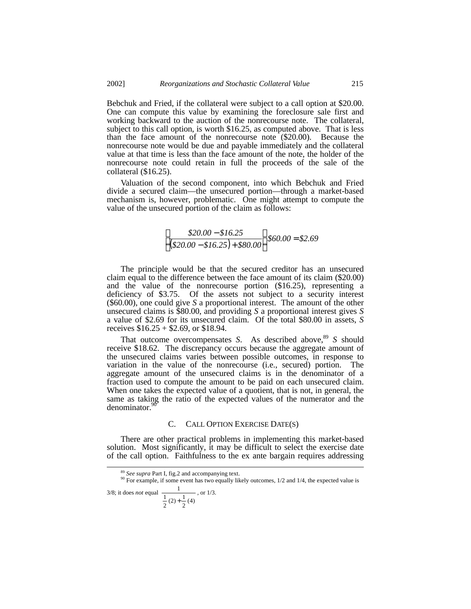Bebchuk and Fried, if the collateral were subject to a call option at \$20.00. One can compute this value by examining the foreclosure sale first and working backward to the auction of the nonrecourse note. The collateral, subject to this call option, is worth \$16.25, as computed above. That is less than the face amount of the nonrecourse note (\$20.00). Because the nonrecourse note would be due and payable immediately and the collateral value at that time is less than the face amount of the note, the holder of the nonrecourse note could retain in full the proceeds of the sale of the collateral (\$16.25).

Valuation of the second component, into which Bebchuk and Fried divide a secured claim—the unsecured portion—through a market-based mechanism is, however, problematic. One might attempt to compute the value of the unsecured portion of the claim as follows:

$$
\left[\frac{$20.00 - $16.25}{$($20.00 - $16.25) + $80.00}\right] $60.00 = $2.69
$$

The principle would be that the secured creditor has an unsecured claim equal to the difference between the face amount of its claim (\$20.00) and the value of the nonrecourse portion (\$16.25), representing a deficiency of \$3.75. Of the assets not subject to a security interest (\$60.00), one could give *S* a proportional interest. The amount of the other unsecured claims is \$80.00, and providing *S* a proportional interest gives *S* a value of \$2.69 for its unsecured claim. Of the total \$80.00 in assets, *S* receives  $$16.25 + $2.69$ , or \$18.94.

That outcome overcompensates *S*. As described above,<sup>89</sup> *S* should receive \$18.62. The discrepancy occurs because the aggregate amount of the unsecured claims varies between possible outcomes, in response to variation in the value of the nonrecourse (i.e., secured) portion. The aggregate amount of the unsecured claims is in the denominator of a fraction used to compute the amount to be paid on each unsecured claim. When one takes the expected value of a quotient, that is not, in general, the same as taking the ratio of the expected values of the numerator and the denominator.<sup>90</sup>

#### C. CALL OPTION EXERCISE DATE(S)

There are other practical problems in implementing this market-based solution. Most significantly, it may be difficult to select the exercise date of the call option. Faithfulness to the ex ante bargain requires addressing

 $rac{1}{2}(4)$  $\frac{1}{2}(2) + \frac{1}{2}$ 1 +

<sup>89</sup> *See supra* Part I, fig.2 and accompanying text.

 $90$  For example, if some event has two equally likely outcomes,  $1/2$  and  $1/4$ , the expected value is 3/8; it does *not* equal 1 , or 1/3.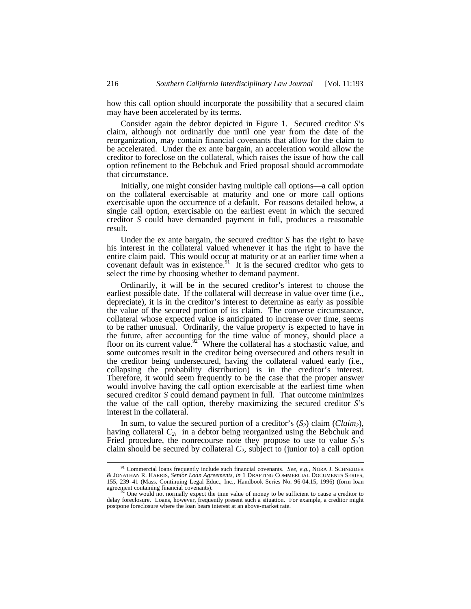how this call option should incorporate the possibility that a secured claim may have been accelerated by its terms.

Consider again the debtor depicted in Figure 1. Secured creditor *S*'s claim, although not ordinarily due until one year from the date of the reorganization, may contain financial covenants that allow for the claim to be accelerated. Under the ex ante bargain, an acceleration would allow the creditor to foreclose on the collateral, which raises the issue of how the call option refinement to the Bebchuk and Fried proposal should accommodate that circumstance.

Initially, one might consider having multiple call options—a call option on the collateral exercisable at maturity and one or more call options exercisable upon the occurrence of a default. For reasons detailed below, a single call option, exercisable on the earliest event in which the secured creditor *S* could have demanded payment in full, produces a reasonable result.

Under the ex ante bargain, the secured creditor *S* has the right to have his interest in the collateral valued whenever it has the right to have the entire claim paid. This would occur at maturity or at an earlier time when a covenant default was in existence.<sup>91</sup> It is the secured creditor who gets to select the time by choosing whether to demand payment.

Ordinarily, it will be in the secured creditor's interest to choose the earliest possible date. If the collateral will decrease in value over time (i.e., depreciate), it is in the creditor's interest to determine as early as possible the value of the secured portion of its claim. The converse circumstance, collateral whose expected value is anticipated to increase over time, seems to be rather unusual. Ordinarily, the value property is expected to have in the future, after accounting for the time value of money, should place a floor on its current value.<sup>92</sup> Where the collateral has a stochastic value, and some outcomes result in the creditor being oversecured and others result in the creditor being undersecured, having the collateral valued early (i.e., collapsing the probability distribution) is in the creditor's interest. Therefore, it would seem frequently to be the case that the proper answer would involve having the call option exercisable at the earliest time when secured creditor *S* could demand payment in full. That outcome minimizes the value of the call option, thereby maximizing the secured creditor *S*'s interest in the collateral.

In sum, to value the secured portion of a creditor's  $(S_2)$  claim  $(Claim_2)$ , having collateral *C2*, in a debtor being reorganized using the Bebchuk and Fried procedure, the nonrecourse note they propose to use to value  $S_2$ 's claim should be secured by collateral  $C_2$ , subject to (junior to) a call option

<sup>91</sup> Commercial loans frequently include such financial covenants. *See, e.g.*, NORA J. SCHNEIDER & JONATHAN R. HARRIS, *Senior Loan Agreements*, *in* 1 DRAFTING COMMERCIAL DOCUMENTS SERIES, 155, 239–41 (Mass. Continuing Legal Educ., Inc., Handbook Series No. 96-04.15, 1996) (form loan agreement containing financial covenants).<br><sup>92</sup> One would not normally expect the time value of money to be sufficient to cause a creditor to

delay foreclosure. Loans, however, frequently present such a situation. For example, a creditor might postpone foreclosure where the loan bears interest at an above-market rate.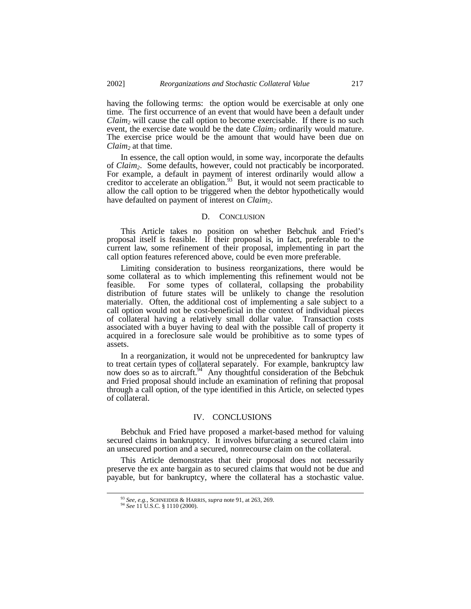having the following terms: the option would be exercisable at only one time. The first occurrence of an event that would have been a default under *Claim2* will cause the call option to become exercisable. If there is no such event, the exercise date would be the date *Claim2* ordinarily would mature. The exercise price would be the amount that would have been due on *Claim2* at that time.

In essence, the call option would, in some way, incorporate the defaults of *Claim2*. Some defaults, however, could not practicably be incorporated. For example, a default in payment of interest ordinarily would allow a creditor to accelerate an obligation.<sup>93</sup> But, it would not seem practicable to allow the call option to be triggered when the debtor hypothetically would have defaulted on payment of interest on *Claim2*.

#### D. CONCLUSION

This Article takes no position on whether Bebchuk and Fried's proposal itself is feasible. If their proposal is, in fact, preferable to the current law, some refinement of their proposal, implementing in part the call option features referenced above, could be even more preferable.

Limiting consideration to business reorganizations, there would be some collateral as to which implementing this refinement would not be feasible. For some types of collateral, collapsing the probability distribution of future states will be unlikely to change the resolution materially. Often, the additional cost of implementing a sale subject to a call option would not be cost-beneficial in the context of individual pieces of collateral having a relatively small dollar value. Transaction costs associated with a buyer having to deal with the possible call of property it acquired in a foreclosure sale would be prohibitive as to some types of assets.

In a reorganization, it would not be unprecedented for bankruptcy law to treat certain types of collateral separately. For example, bankruptcy law now does so as to aircraft.<sup>94</sup> Any thoughtful consideration of the Bebchuk and Fried proposal should include an examination of refining that proposal through a call option, of the type identified in this Article, on selected types of collateral.

# IV. CONCLUSIONS

Bebchuk and Fried have proposed a market-based method for valuing secured claims in bankruptcy. It involves bifurcating a secured claim into an unsecured portion and a secured, nonrecourse claim on the collateral.

This Article demonstrates that their proposal does not necessarily preserve the ex ante bargain as to secured claims that would not be due and payable, but for bankruptcy, where the collateral has a stochastic value.

<sup>93</sup> *See, e.g.*, SCHNEIDER & HARRIS, *supra* note 91, at 263, 269. <sup>94</sup> *See* 11 U.S.C. § 1110 (2000).